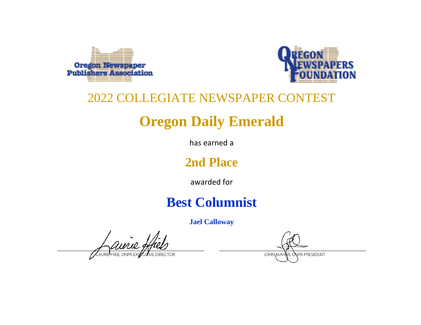



# **Oregon Daily Emerald**

has earned a

## **2nd Place**

awarded for

## **Best Columnist**

**Jael Calloway**

aurie

NPA PRESIDENT **JOHN MAH**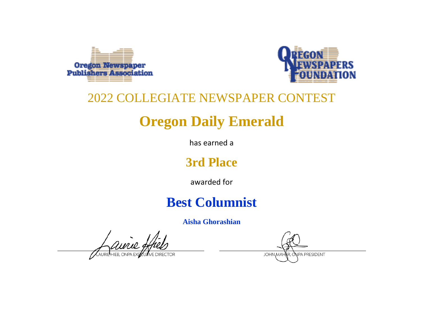



# **Oregon Daily Emerald**

has earned a

### **3rd Place**

awarded for

## **Best Columnist**

**Aisha Ghorashian**

ainie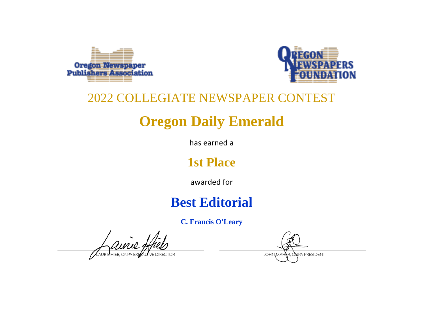



# **Oregon Daily Emerald**

has earned a

## **1st Place**

awarded for

## **Best Editorial**

**C. Francis O'Leary**

ainie

NPA PRESIDENT **JOHN MAH**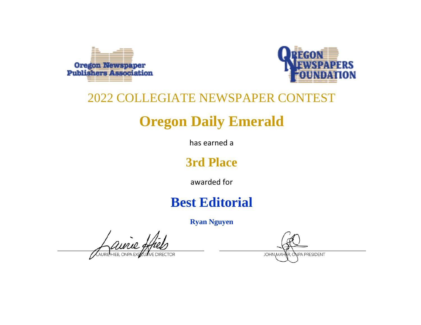



# **Oregon Daily Emerald**

has earned a

## **3rd Place**

awarded for

## **Best Editorial**

**Ryan Nguyen**

aurie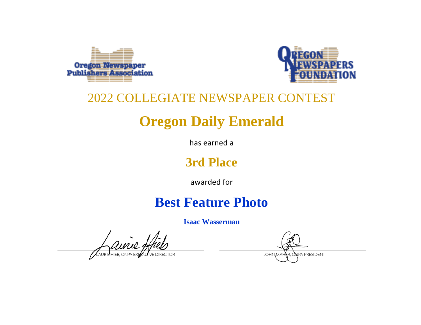



# **Oregon Daily Emerald**

has earned a

### **3rd Place**

awarded for

## **Best Feature Photo**

**Isaac Wasserman**

aurie

**NPA PRESIDENT JOHN MAH**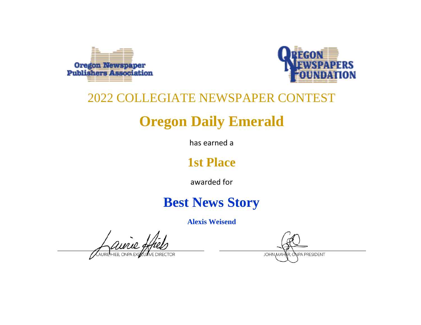



# **Oregon Daily Emerald**

has earned a

## **1st Place**

awarded for

## **Best News Story**

**Alexis Weisend**

aurie

NPA PRESIDENT **JOHN MAH**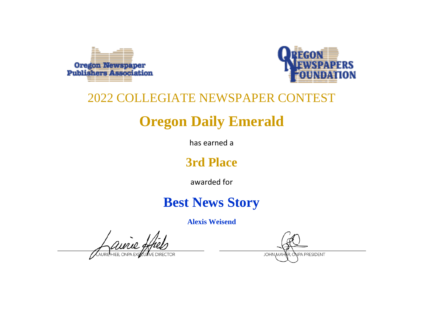



# **Oregon Daily Emerald**

has earned a

## **3rd Place**

awarded for

## **Best News Story**

**Alexis Weisend**

aurie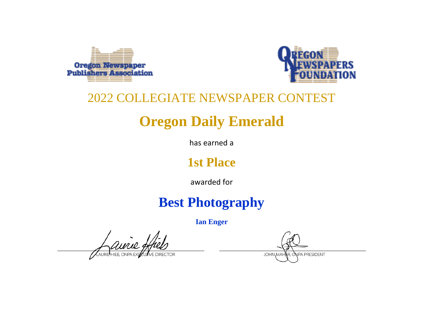



# **Oregon Daily Emerald**

has earned a

## **1st Place**

awarded for

## **Best Photography**

**Ian Enger**

ainie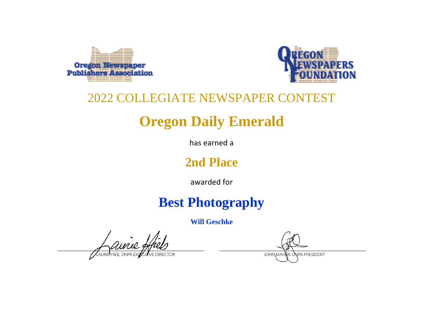



# **Oregon Daily Emerald**

has earned a

## **2nd Place**

awarded for

## **Best Photography**

**Will Geschke**

aurie

**NPA PRESIDENT JOHN MAH**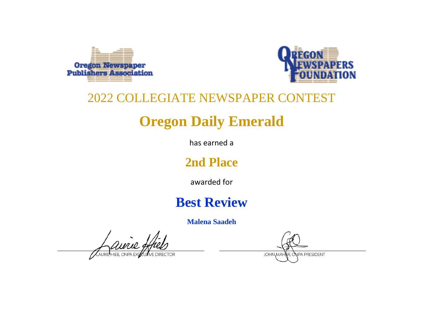



# **Oregon Daily Emerald**

has earned a

## **2nd Place**

awarded for

## **Best Review**

**Malena Saadeh**

aurie, **ELIER ONPA F**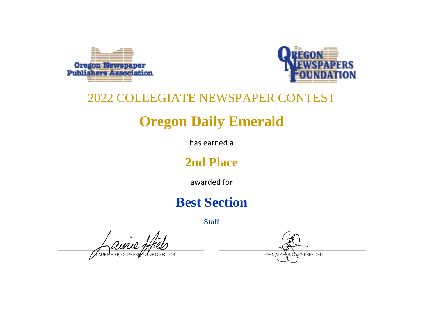



# **Oregon Daily Emerald**

has earned a

## **2nd Place**

awarded for

## **Best Section**

ANRIEHIEB, ONPA EXPO

NPA PRESIDENT **JOHN MAH**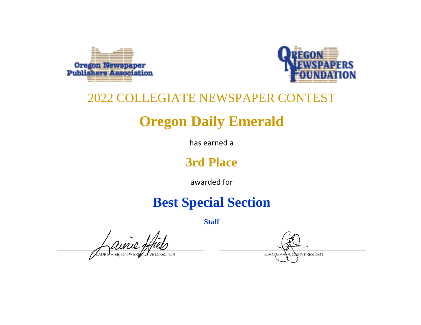



# **Oregon Daily Emerald**

has earned a

### **3rd Place**

awarded for

## **Best Special Section**

Aurie 9

**NPA PRESIDENT JOHN MAH**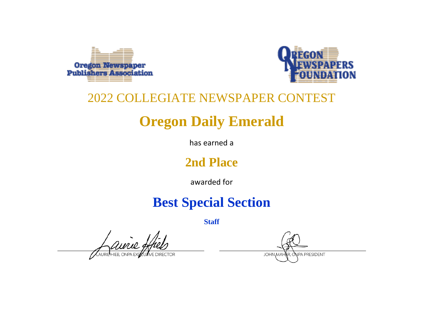



# **Oregon Daily Emerald**

has earned a

### **2nd Place**

awarded for

## **Best Special Section**

Auril 9

**NPA PRESIDENT JOHN MAH**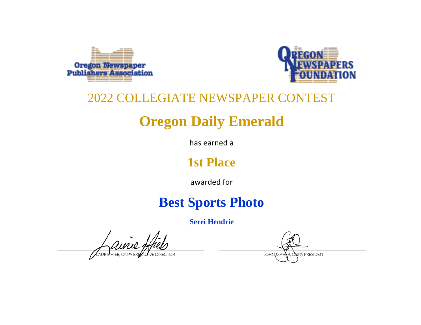



# **Oregon Daily Emerald**

has earned a

## **1st Place**

awarded for

## **Best Sports Photo**

**Serei Hendrie**

aurie,

**NPA PRESIDENT JOHN MAH**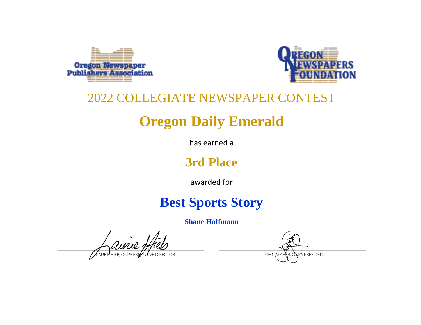



# **Oregon Daily Emerald**

has earned a

### **3rd Place**

awarded for

## **Best Sports Story**

**Shane Hoffmann**

aurie.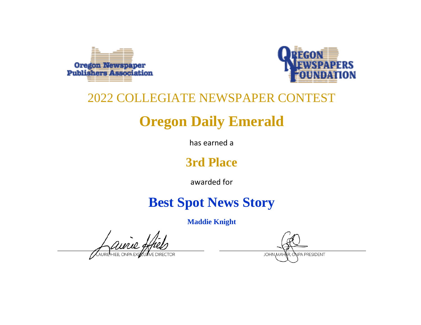



# **Oregon Daily Emerald**

has earned a

### **3rd Place**

awarded for

## **Best Spot News Story**

**Maddie Knight**

aurie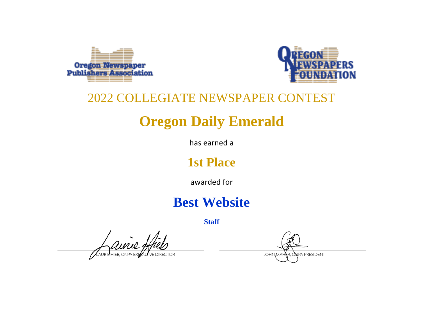



# **Oregon Daily Emerald**

has earned a

## **1st Place**

awarded for

## **Best Website**

Quire

NPA PRESIDENT **JOHN MAH**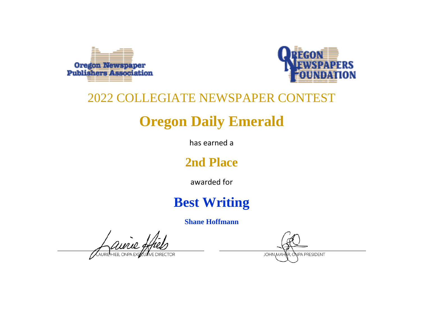



# **Oregon Daily Emerald**

has earned a

## **2nd Place**

awarded for

## **Best Writing**

**Shane Hoffmann**

aurie, HIER ONPA

NPA PRESIDENT **JOHN MAH**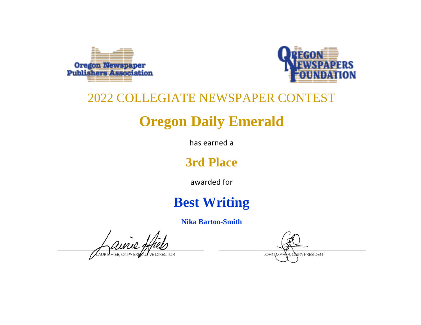



# **Oregon Daily Emerald**

has earned a

## **3rd Place**

awarded for

## **Best Writing**

**Nika Bartoo-Smith**

aurie

**JOHN MAH** 

NPA PRESIDENT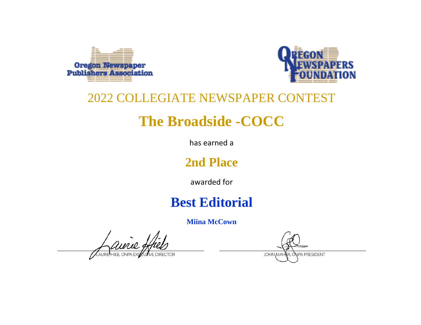



## **The Broadside -COCC**

has earned a

## **2nd Place**

awarded for

## **Best Editorial**

**Miina McCown**

aurie.

NPA PRESIDENT **JOHN MAH**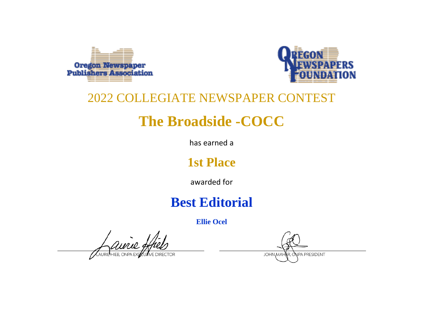



## **The Broadside -COCC**

has earned a

## **1st Place**

awarded for

## **Best Editorial**

**Ellie Ocel**

aurie, AURIP HIFR ONPA F

NPA PRESIDENT **JOHN MAH**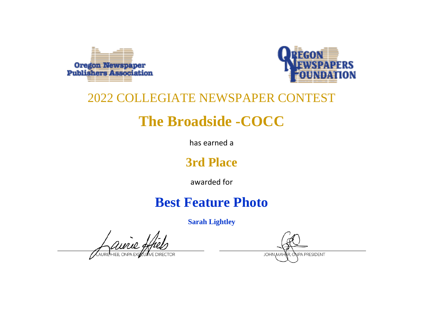



## **The Broadside -COCC**

has earned a

#### **3rd Place**

awarded for

## **Best Feature Photo**

**Sarah Lightley**

aurie

NPA PRESIDENT **JOHN MAH**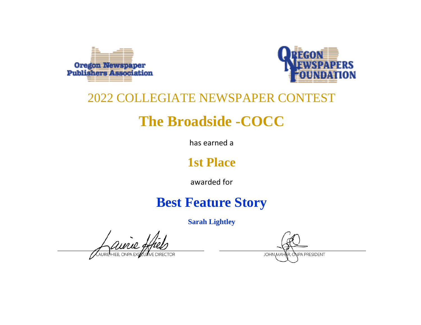



## **The Broadside -COCC**

has earned a

## **1st Place**

awarded for

## **Best Feature Story**

**Sarah Lightley**

aurie

**NPA PRESIDENT JOHN MAH**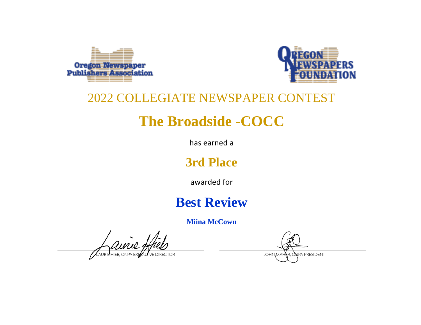



## **The Broadside -COCC**

has earned a

#### **3rd Place**

awarded for

## **Best Review**

**Miina McCown**

aurie, AURIP HIFR ONPA F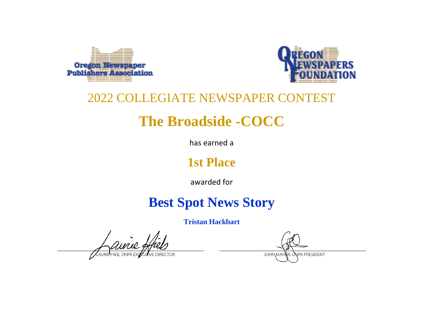



## **The Broadside -COCC**

has earned a

## **1st Place**

awarded for

## **Best Spot News Story**

**Tristan Hackbart**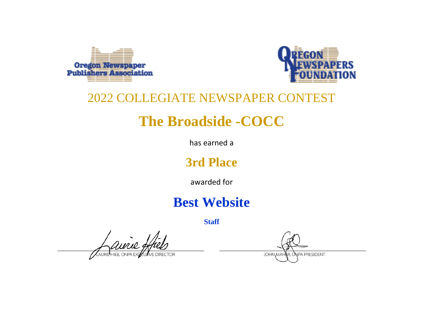



## **The Broadside -COCC**

has earned a

#### **3rd Place**

awarded for

## **Best Website**

avrie g AURIP HIFR ONPA FY

NPA PRESIDENT **JOHN MAH**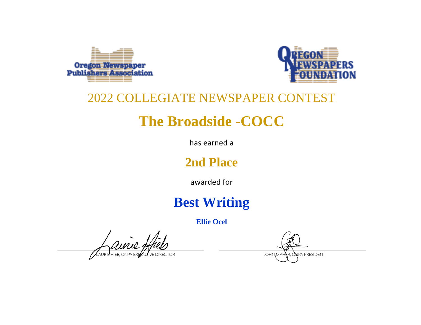



## **The Broadside -COCC**

has earned a

## **2nd Place**

awarded for

## **Best Writing**

**Ellie Ocel**

avrie,  $H$ HIFB. ONPA F

NPA PRESIDENT **JOHN MAH**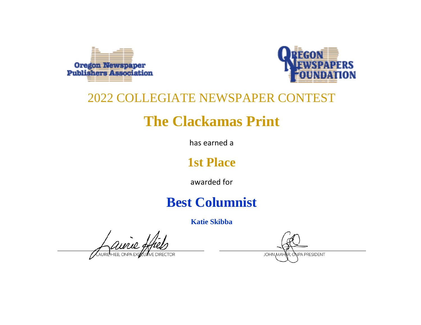



## **The Clackamas Print**

has earned a

## **1st Place**

awarded for

## **Best Columnist**

**Katie Skibba**

NPA PRESIDENT **JOHN MAH**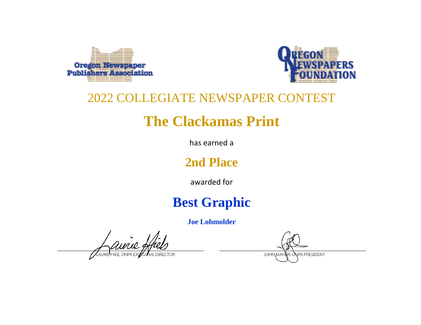



## **The Clackamas Print**

has earned a

## **2nd Place**

awarded for

## **Best Graphic**

**Joe Lohmolder**

aurie, **L**HIER ONPA P

NPA PRESIDENT **JOHN MAH**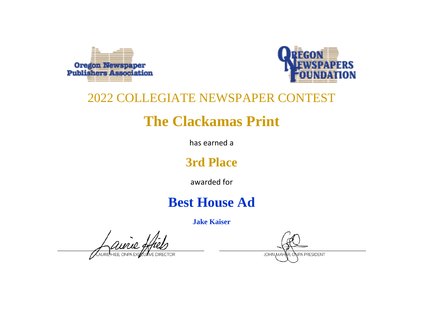



## **The Clackamas Print**

has earned a

## **3rd Place**

awarded for

## **Best House Ad**

**Jake Kaiser**

aurie AURIP HIER ONPA P

NPA PRESIDENT

**JOHN MAH**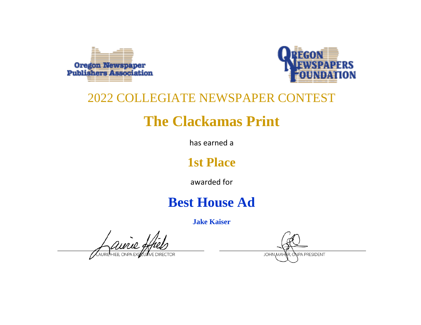



## **The Clackamas Print**

has earned a

## **1st Place**

awarded for

## **Best House Ad**

**Jake Kaiser**

aurie AURIP HIER ONPA

NPA PRESIDENT

**JOHN MAH**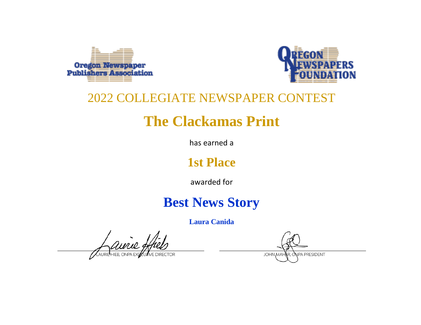



## **The Clackamas Print**

has earned a

## **1st Place**

awarded for

## **Best News Story**

**Laura Canida**

**NPA PRESIDENT JOHN MAH**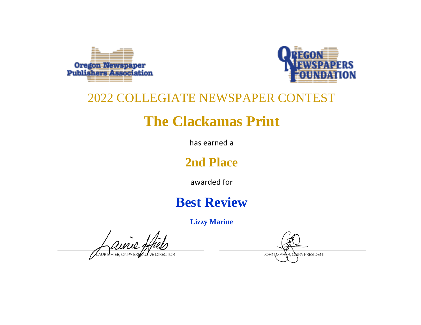



## **The Clackamas Print**

has earned a

## **2nd Place**

awarded for

## **Best Review**

**Lizzy Marine**

airie, AURIP HIFR ONPA F

NPA PRESIDENT **JOHN MAH**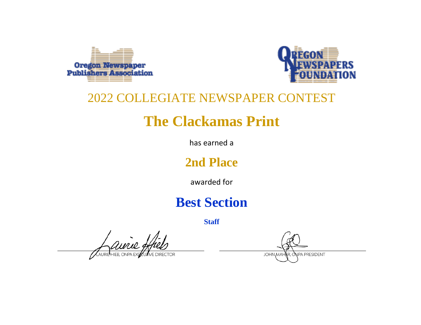



## **The Clackamas Print**

has earned a

## **2nd Place**

awarded for

## **Best Section**

ANRIEHEB, ONPA EXPO

NPA PRESIDENT **JOHN MAH**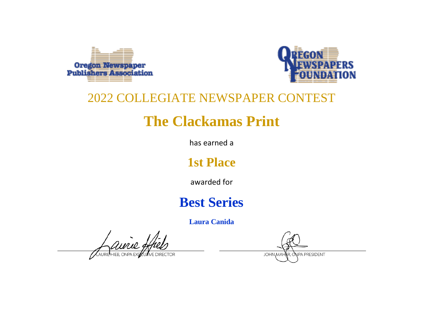



## **The Clackamas Print**

has earned a

## **1st Place**

awarded for

## **Best Series**

**Laura Canida**

aurie AURIP HIFR ONPA F

NPA PRESIDENT **JOHN MAH**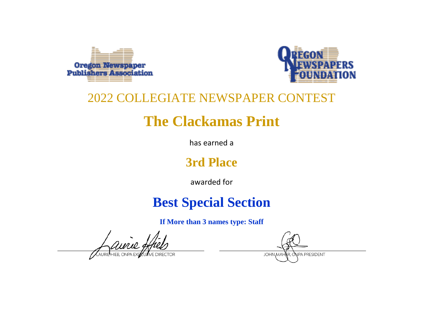



## **The Clackamas Print**

has earned a

## **3rd Place**

awarded for

## **Best Special Section**

**If More than 3 names type: Staff**

**NPA PRESIDENT JOHN MA**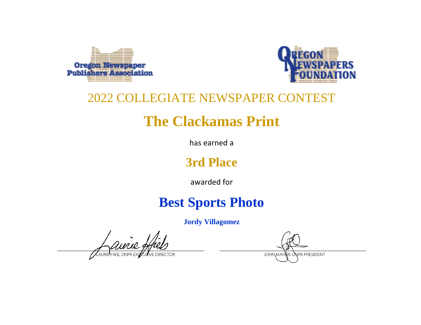



## **The Clackamas Print**

has earned a

### **3rd Place**

awarded for

## **Best Sports Photo**

**Jordy Villagomez**

**NPA PRESIDENT JOHN MAH**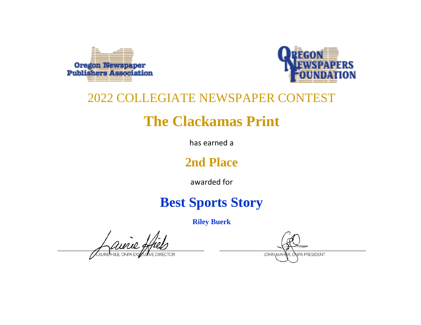



## **The Clackamas Print**

has earned a

### **2nd Place**

awarded for

## **Best Sports Story**

**Riley Buerk**

aurie

**JOHN MAH** NPA PRESIDENT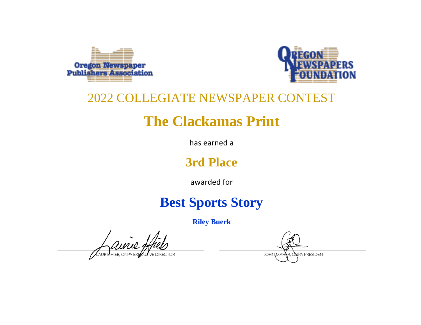



## **The Clackamas Print**

has earned a

### **3rd Place**

awarded for

## **Best Sports Story**

**Riley Buerk**

avrie

**JOHN MAH NPA PRESIDENT**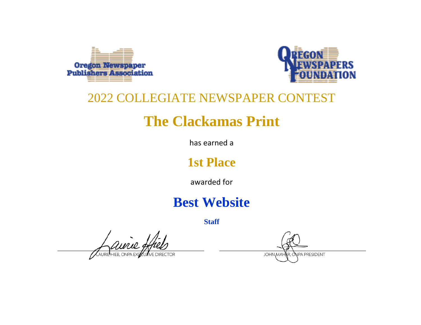



## **The Clackamas Print**

has earned a

### **1st Place**

awarded for

### **Best Website**

**Staff**

ainie g AURIP HIFR ONPA P

NPA PRESIDENT **JOHN MAH**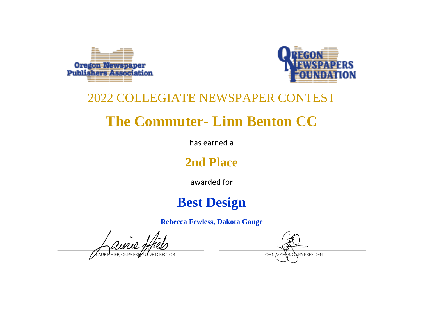



# **The Commuter- Linn Benton CC**

has earned a

### **2nd Place**

awarded for

### **Best Design**

**Rebecca Fewless, Dakota Gange**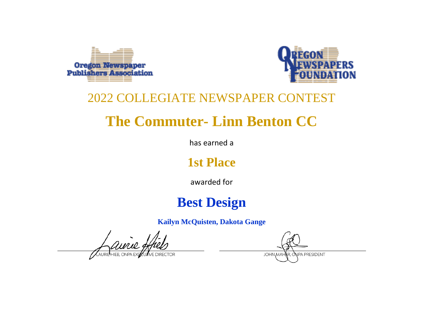



# **The Commuter- Linn Benton CC**

has earned a

### **1st Place**

awarded for

### **Best Design**

**Kailyn McQuisten, Dakota Gange**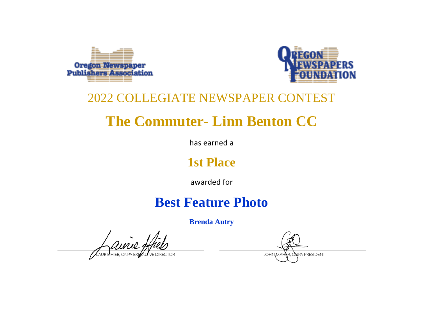



# **The Commuter- Linn Benton CC**

has earned a

### **1st Place**

awarded for

## **Best Feature Photo**

**Brenda Autry**

**NPA PRESIDENT JOHN MAH**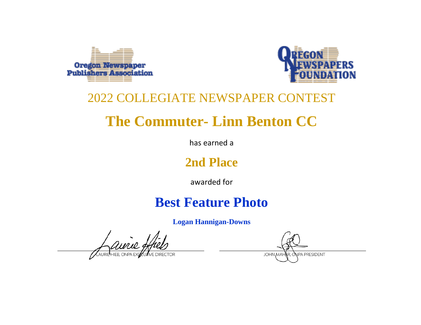



# **The Commuter- Linn Benton CC**

has earned a

### **2nd Place**

awarded for

### **Best Feature Photo**

**Logan Hannigan-Downs**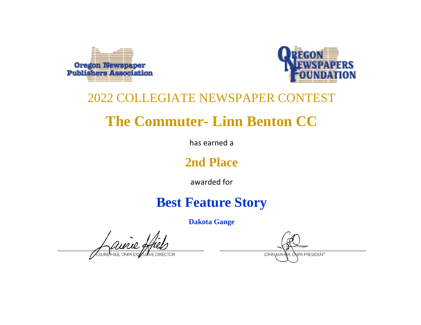



# **The Commuter- Linn Benton CC**

has earned a

### **2nd Place**

awarded for

## **Best Feature Story**

**Dakota Gange**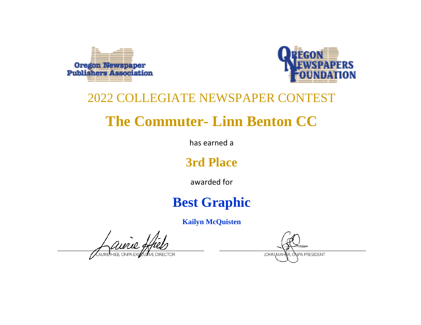



# **The Commuter- Linn Benton CC**

has earned a

### **3rd Place**

awarded for

## **Best Graphic**

**Kailyn McQuisten**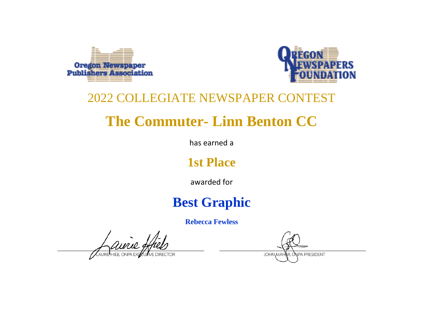



# **The Commuter- Linn Benton CC**

has earned a

### **1st Place**

awarded for

## **Best Graphic**

**Rebecca Fewless**

**NPA PRESIDENT JOHN MAH**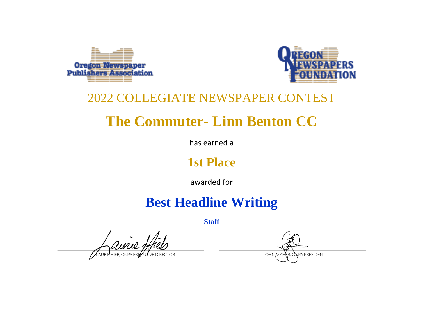



# **The Commuter- Linn Benton CC**

has earned a

### **1st Place**

awarded for

## **Best Headline Writing**

**Staff**

aurie

**JPA PRESIDENT JOHN MAI**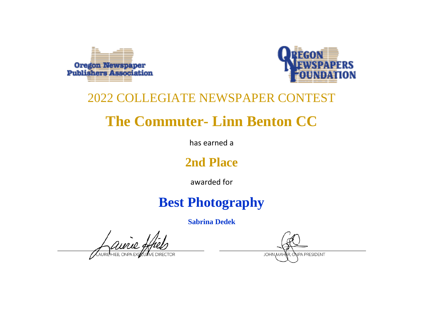



# **The Commuter- Linn Benton CC**

has earned a

### **2nd Place**

awarded for

## **Best Photography**

**Sabrina Dedek**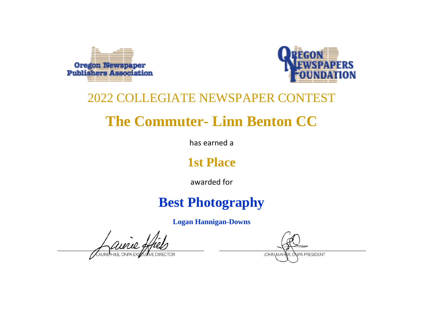



# **The Commuter- Linn Benton CC**

has earned a

### **1st Place**

awarded for

## **Best Photography**

**Logan Hannigan-Downs**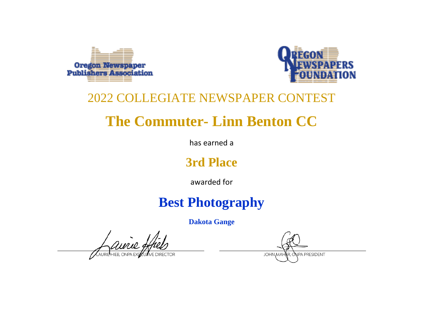



# **The Commuter- Linn Benton CC**

has earned a

### **3rd Place**

awarded for

## **Best Photography**

**Dakota Gange**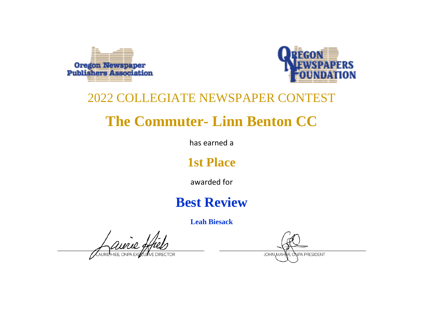



# **The Commuter- Linn Benton CC**

has earned a

### **1st Place**

awarded for

### **Best Review**

**Leah Biesack**

NPA PRESIDENT **JOHN MAH**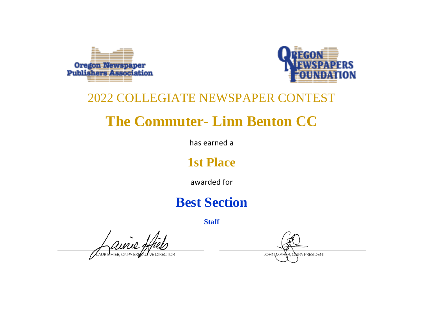



# **The Commuter- Linn Benton CC**

has earned a

### **1st Place**

awarded for

### **Best Section**

**Staff**

airie,

**NPA PRESIDENT JOHN MAH**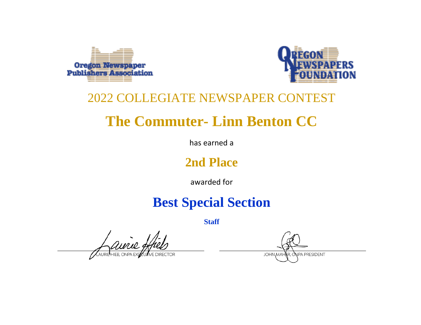



# **The Commuter- Linn Benton CC**

has earned a

### **2nd Place**

awarded for

## **Best Special Section**

**Staff**

aurie,

**JPA PRESIDENT JOHN MAI**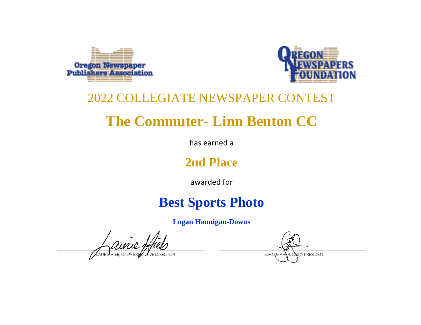



# **The Commuter- Linn Benton CC**

has earned a

### **2nd Place**

awarded for

## **Best Sports Photo**

**Logan Hannigan-Downs**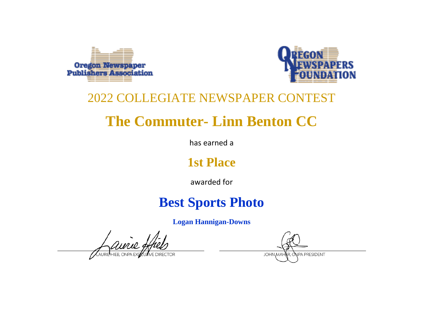



# **The Commuter- Linn Benton CC**

has earned a

### **1st Place**

awarded for

## **Best Sports Photo**

**Logan Hannigan-Downs**

**NPA PRESIDENT JOHN MAH**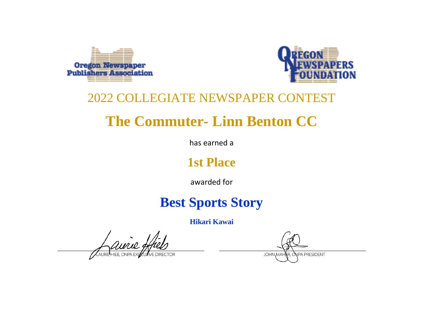



# **The Commuter- Linn Benton CC**

has earned a

### **1st Place**

awarded for

## **Best Sports Story**

**Hikari Kawai**

**NPA PRESIDENT JOHN MAH**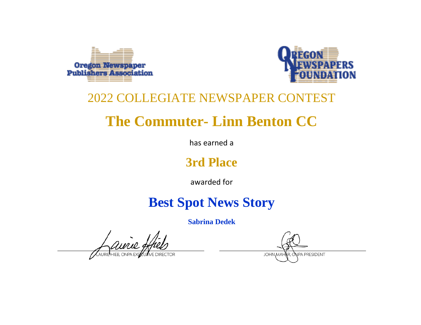



# **The Commuter- Linn Benton CC**

has earned a

### **3rd Place**

awarded for

## **Best Spot News Story**

**Sabrina Dedek**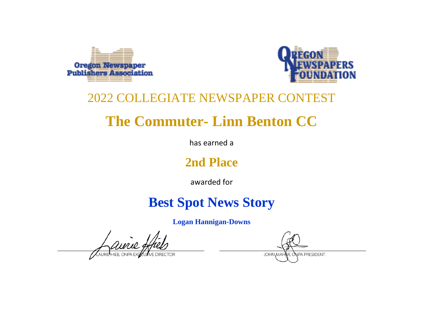



# **The Commuter- Linn Benton CC**

has earned a

### **2nd Place**

awarded for

## **Best Spot News Story**

**Logan Hannigan-Downs**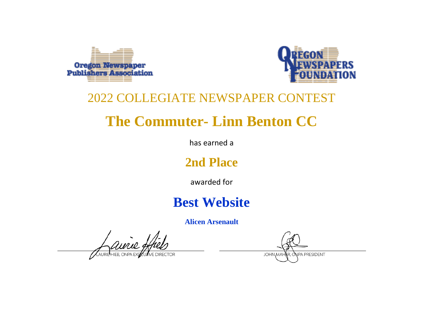



# **The Commuter- Linn Benton CC**

has earned a

### **2nd Place**

awarded for

### **Best Website**

**Alicen Arsenault**

NPA PRESIDENT **JOHN MAH**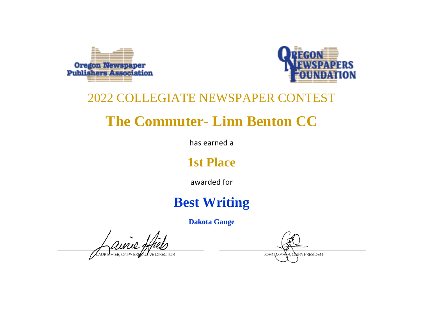



# **The Commuter- Linn Benton CC**

has earned a

### **1st Place**

awarded for

## **Best Writing**

**Dakota Gange**

ainie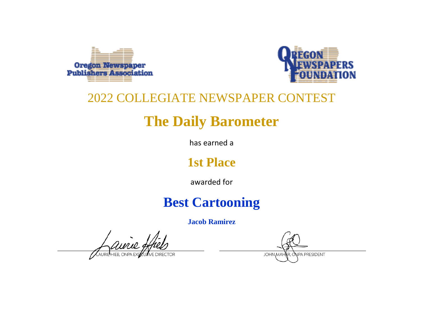



# **The Daily Barometer**

has earned a

### **1st Place**

awarded for

## **Best Cartooning**

**Jacob Ramirez**

ainie

**NPA PRESIDENT JOHN MAH**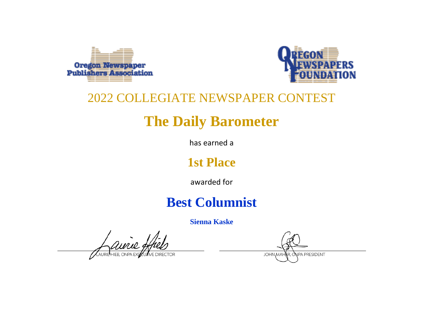



# **The Daily Barometer**

has earned a

### **1st Place**

awarded for

## **Best Columnist**

**Sienna Kaske**

aurie

**NPA PRESIDENT JOHN MAH**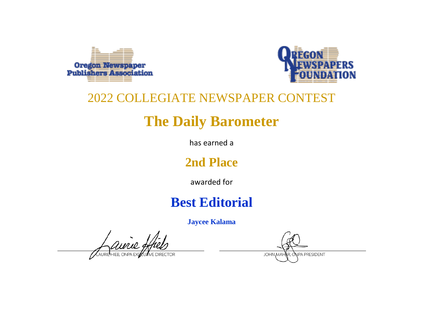



# **The Daily Barometer**

has earned a

### **2nd Place**

awarded for

## **Best Editorial**

**Jaycee Kalama**

aurie

**NPA PRESIDENT JOHN MAH**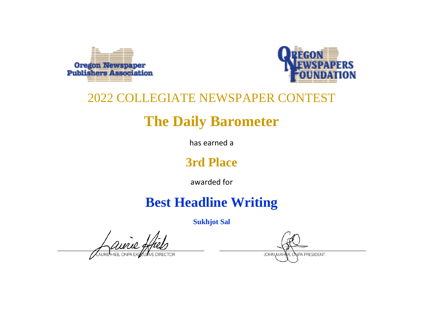



# **The Daily Barometer**

has earned a

### **3rd Place**

awarded for

## **Best Headline Writing**

**Sukhjot Sal**

ainie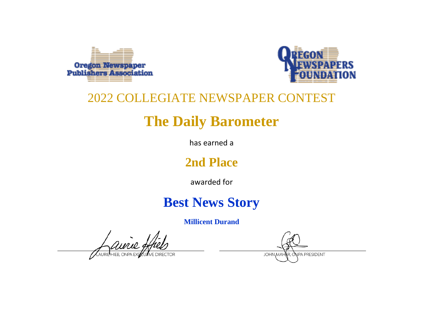



# **The Daily Barometer**

has earned a

### **2nd Place**

awarded for

### **Best News Story**

**Millicent Durand**

aurie.

**NPA PRESIDENT JOHN MAH**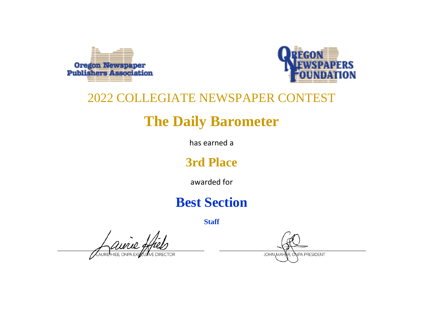



# **The Daily Barometer**

has earned a

### **3rd Place**

awarded for

### **Best Section**

**Staff**

ANRIEHIEB, ONPA EXPO

**NPA PRESIDENT JOHN MAH**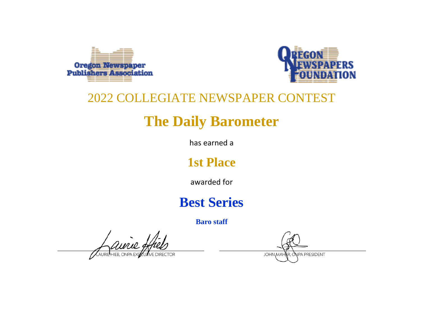



# **The Daily Barometer**

has earned a

### **1st Place**

awarded for

### **Best Series**

**Baro staff**

Aurie 9

NPA PRESIDENT **JOHN MAH**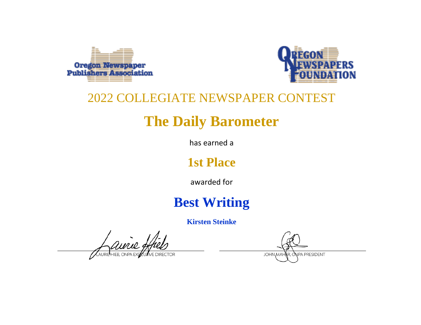



# **The Daily Barometer**

has earned a

### **1st Place**

awarded for

## **Best Writing**

**Kirsten Steinke**

aurie:

**NPA PRESIDENT JOHN MAH**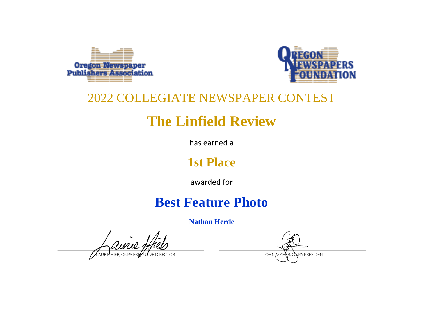



# **The Linfield Review**

has earned a

### **1st Place**

awarded for

## **Best Feature Photo**

**Nathan Herde**

ainie

NPA PRESIDENT **JOHN MAH**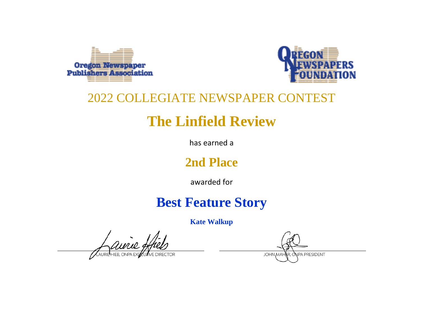



# **The Linfield Review**

has earned a

### **2nd Place**

awarded for

## **Best Feature Story**

**Kate Walkup**

**NPA PRESIDENT JOHN MAH**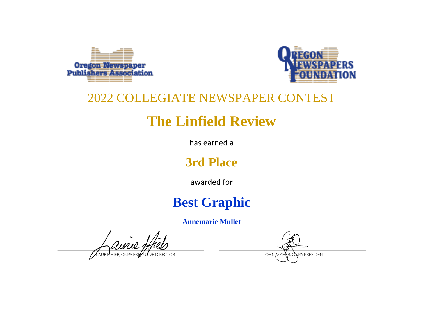



# **The Linfield Review**

has earned a

### **3rd Place**

awarded for

## **Best Graphic**

**Annemarie Mullet**

aurie

NPA PRESIDENT **JOHN MAH**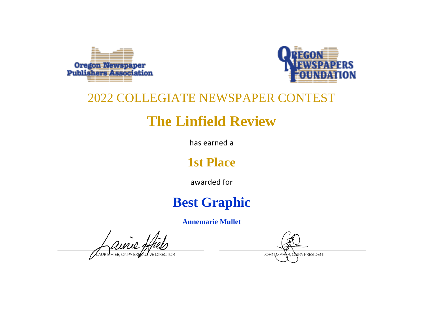



# **The Linfield Review**

has earned a

### **1st Place**

awarded for

## **Best Graphic**

**Annemarie Mullet**

ainie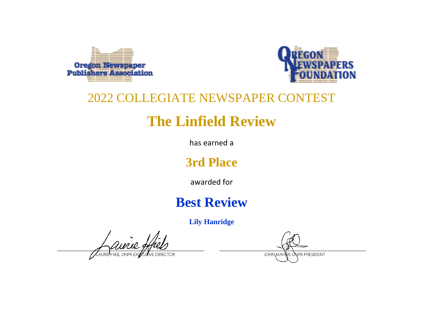



# **The Linfield Review**

has earned a

### **3rd Place**

awarded for

## **Best Review**

**Lily Hanridge**

airie **HIER ONPA**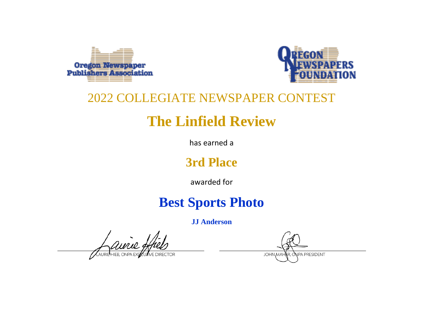



# **The Linfield Review**

has earned a

### **3rd Place**

awarded for

## **Best Sports Photo**

**JJ Anderson**

aurie.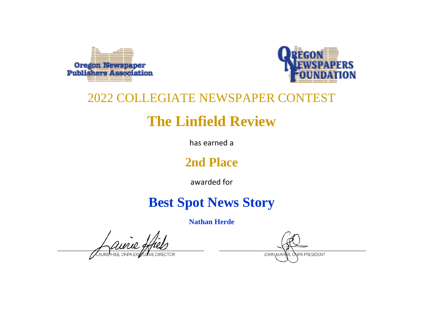



# **The Linfield Review**

has earned a

### **2nd Place**

awarded for

## **Best Spot News Story**

**Nathan Herde**

ainie

**NPA PRESIDENT JOHN MAH**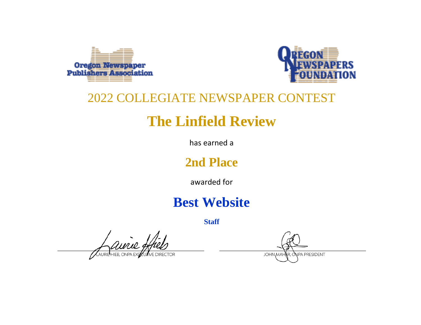



# **The Linfield Review**

has earned a

### **2nd Place**

awarded for

## **Best Website**

**Staff**

avrie, AURIP HIFR ONPA F

NPA PRESIDENT **JOHN MAH**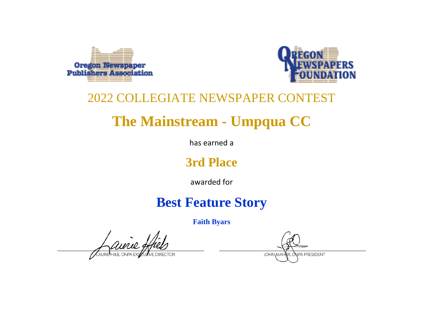



# **The Mainstream - Umpqua CC**

has earned a

### **3rd Place**

awarded for

## **Best Feature Story**

**Faith Byars**

aurie

**NPA PRESIDENT JOHN MAH**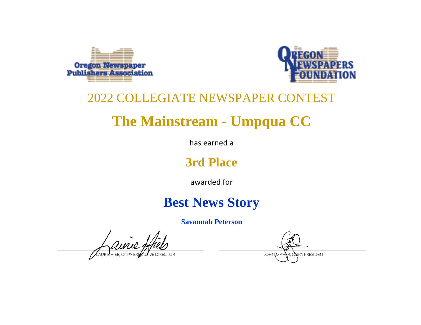



# **The Mainstream - Umpqua CC**

has earned a

### **3rd Place**

awarded for

## **Best News Story**

**Savannah Peterson**

**NPA PRESIDENT JOHN MAI**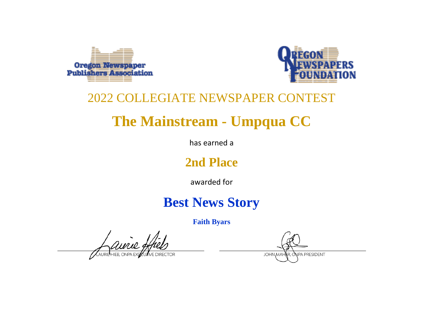



# **The Mainstream - Umpqua CC**

has earned a

### **2nd Place**

awarded for

## **Best News Story**

**Faith Byars**

aurie.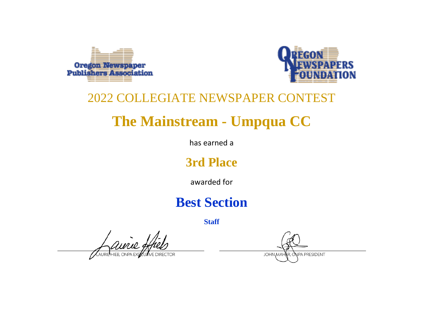



# **The Mainstream - Umpqua CC**

has earned a

### **3rd Place**

awarded for

## **Best Section**

**Staff**

avrie,

**NPA PRESIDENT JOHN MAH**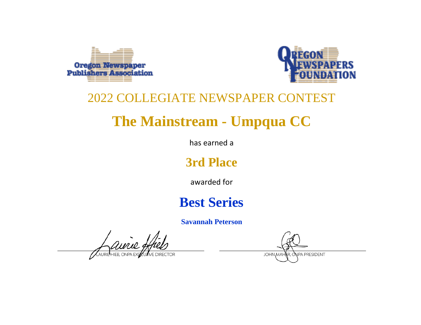



# **The Mainstream - Umpqua CC**

has earned a

### **3rd Place**

awarded for

## **Best Series**

**Savannah Peterson**

ainie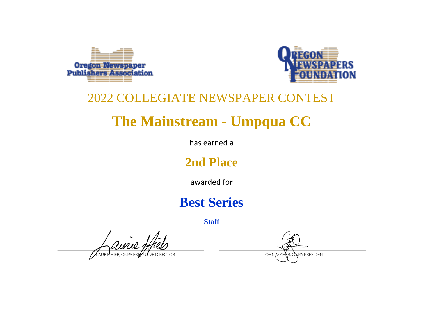



# **The Mainstream - Umpqua CC**

has earned a

### **2nd Place**

awarded for

## **Best Series**

**Staff**

avrie,

**NPA PRESIDENT JOHN MAH**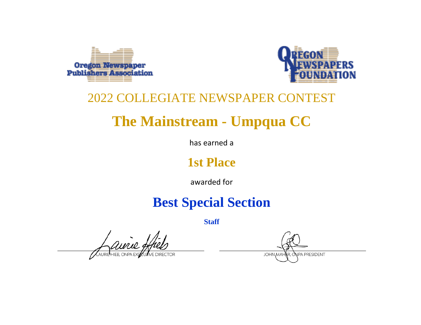



# **The Mainstream - Umpqua CC**

has earned a

### **1st Place**

awarded for

## **Best Special Section**

**Staff**

airie,

**JPA PRESIDENT JOHN MAI**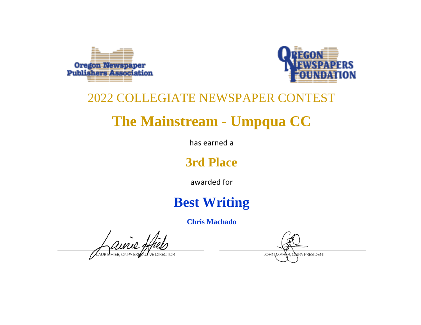



# **The Mainstream - Umpqua CC**

has earned a

### **3rd Place**

awarded for

## **Best Writing**

**Chris Machado**

aurie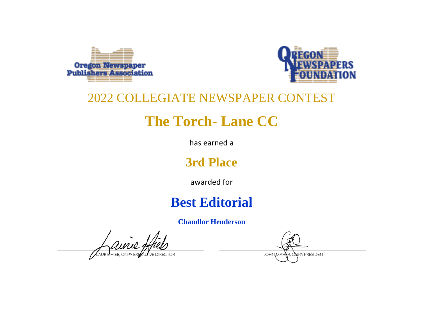



# **The Torch- Lane CC**

has earned a

### **3rd Place**

awarded for

## **Best Editorial**

**Chandlor Henderson**

NPA PRESIDENT **JOHN MAH**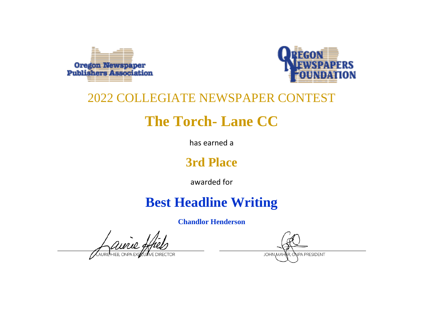



# **The Torch- Lane CC**

has earned a

### **3rd Place**

awarded for

## **Best Headline Writing**

**Chandlor Henderson**

**NPA PRESIDENT JOHN MAI**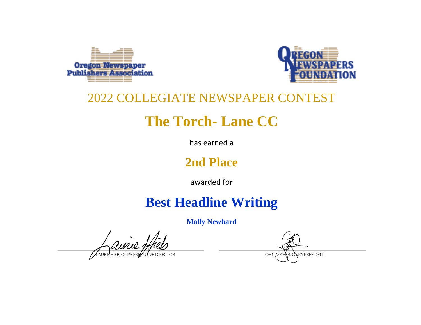



# **The Torch- Lane CC**

has earned a

### **2nd Place**

awarded for

## **Best Headline Writing**

**Molly Newhard**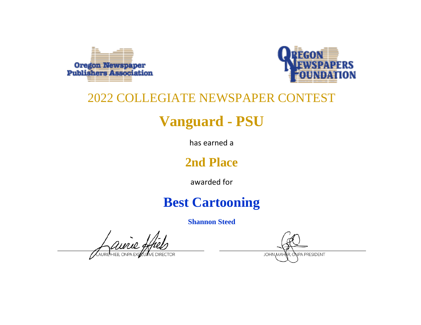



# **Vanguard - PSU**

has earned a

### **2nd Place**

awarded for

## **Best Cartooning**

**Shannon Steed**

aurie:

NPA PRESIDENT **JOHN MAH**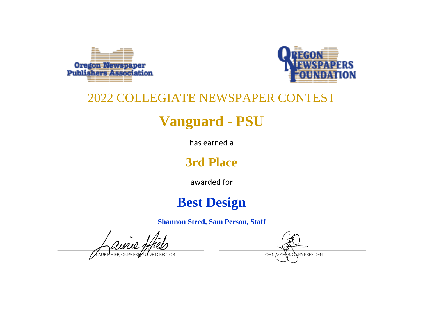



# **Vanguard - PSU**

has earned a

### **3rd Place**

awarded for

## **Best Design**

**Shannon Steed, Sam Person, Staff**

 $\imath$ mio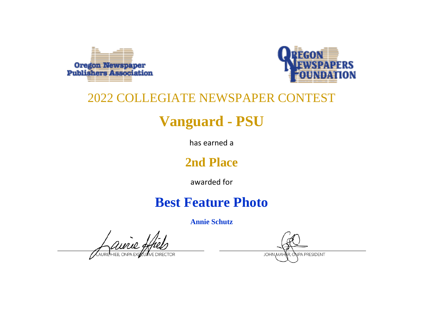



# **Vanguard - PSU**

has earned a

### **2nd Place**

awarded for

## **Best Feature Photo**

**Annie Schutz**

aurie.

**NPA PRESIDENT JOHN MAH**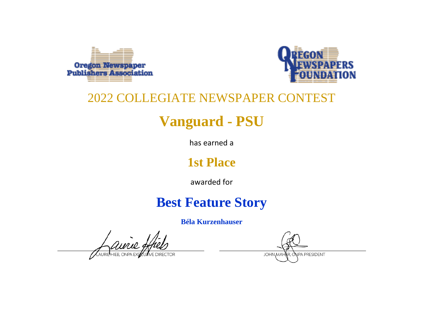



# **Vanguard - PSU**

has earned a

### **1st Place**

awarded for

## **Best Feature Story**

**Béla Kurzenhauser**

aurie

**NPA PRESIDENT JOHN MAH**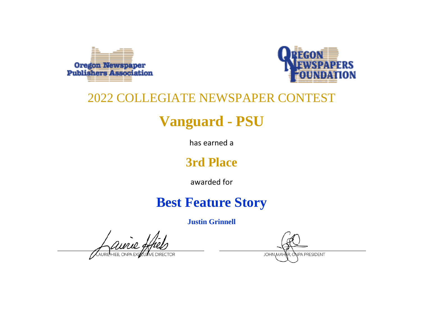



# **Vanguard - PSU**

has earned a

### **3rd Place**

awarded for

## **Best Feature Story**

**Justin Grinnell**

aurie: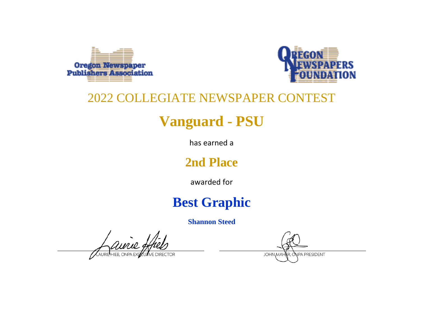



# **Vanguard - PSU**

has earned a

### **2nd Place**

awarded for

## **Best Graphic**

**Shannon Steed**

Aurie 9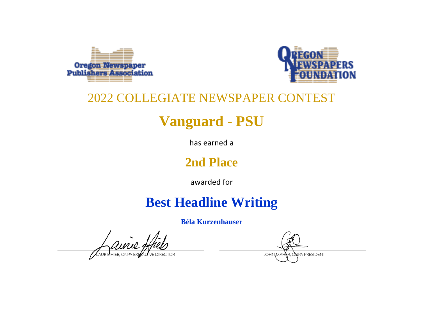



# **Vanguard - PSU**

has earned a

### **2nd Place**

awarded for

## **Best Headline Writing**

**Béla Kurzenhauser**

**JOHN MAI** 

**NPA PRESIDENT**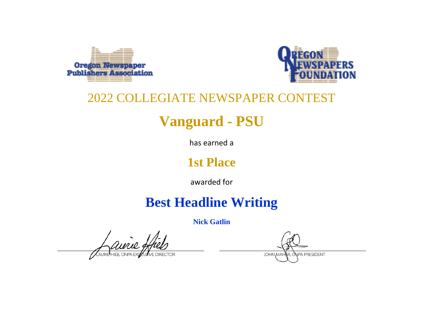



# **Vanguard - PSU**

has earned a

### **1st Place**

awarded for

## **Best Headline Writing**

**Nick Gatlin**

aurie

**NPA PRESIDENT JOHN MAH**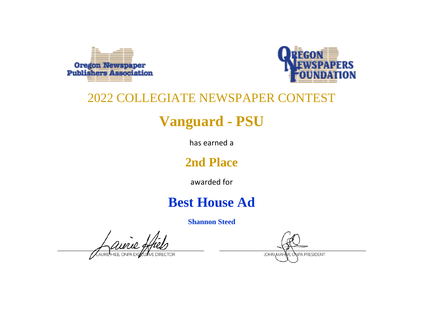



# **Vanguard - PSU**

has earned a

### **2nd Place**

awarded for

## **Best House Ad**

**Shannon Steed**

avrie, **ELHIER ONPA F** 

NPA PRESIDENT **JOHN MAH**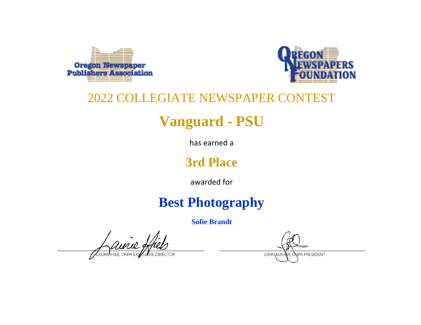



# **Vanguard - PSU**

has earned a

### **3rd Place**

awarded for

## **Best Photography**

**Sofie Brandt**

aurie,

**NPA PRESIDENT JOHN MAH**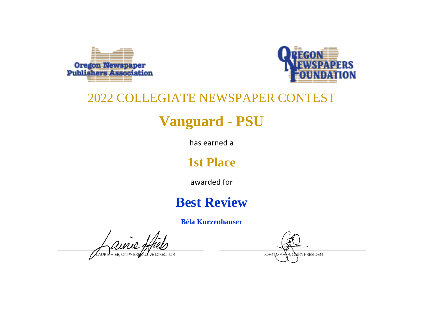



# **Vanguard - PSU**

has earned a

### **1st Place**

awarded for

## **Best Review**

**Béla Kurzenhauser**

Aurie 9

NPA PRESIDENT **JOHN MAH**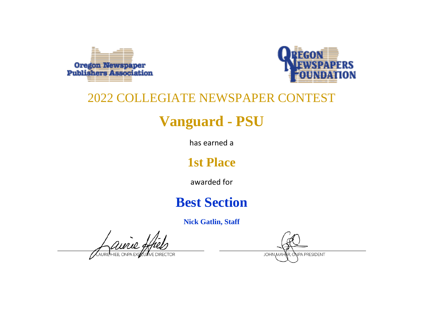



# **Vanguard - PSU**

has earned a

### **1st Place**

awarded for

## **Best Section**

**Nick Gatlin, Staff**

avrie g HIER ONPA P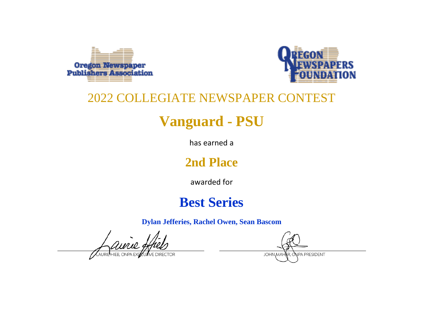



# **Vanguard - PSU**

has earned a

### **2nd Place**

awarded for

## **Best Series**

**Dylan Jefferies, Rachel Owen, Sean Bascom**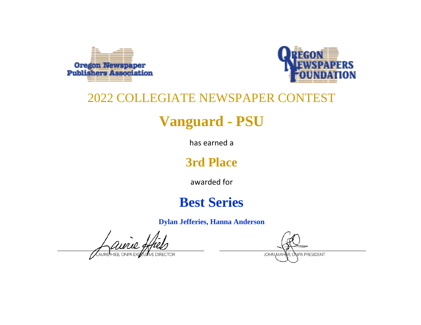



# **Vanguard - PSU**

has earned a

### **3rd Place**

awarded for

## **Best Series**

**Dylan Jefferies, Hanna Anderson**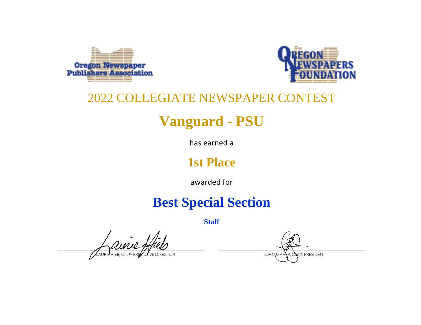



# **Vanguard - PSU**

has earned a

### **1st Place**

awarded for

## **Best Special Section**

**Staff**

Auril 9

**NPA PRESIDENT JOHN MAH**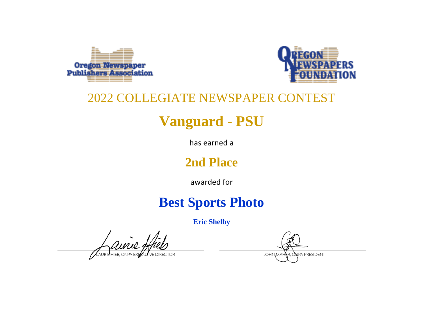



# **Vanguard - PSU**

has earned a

### **2nd Place**

awarded for

## **Best Sports Photo**

**Eric Shelby**

avrie g

**JOHN MAH NPA PRESIDENT**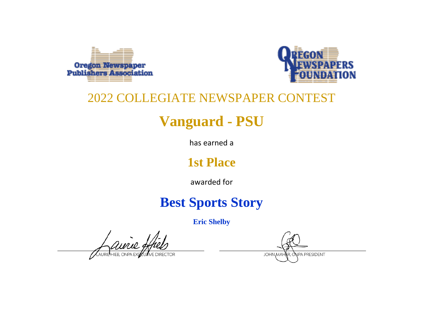



# **Vanguard - PSU**

has earned a

### **1st Place**

awarded for

## **Best Sports Story**

**Eric Shelby**

avie,

**JOHN MAH** NPA PRESIDENT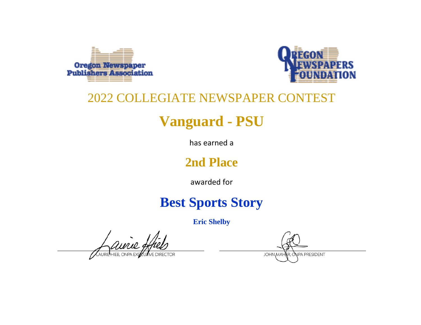



# **Vanguard - PSU**

has earned a

### **2nd Place**

awarded for

## **Best Sports Story**

**Eric Shelby**

avrie,

**JOHN MAH** NPA PRESIDENT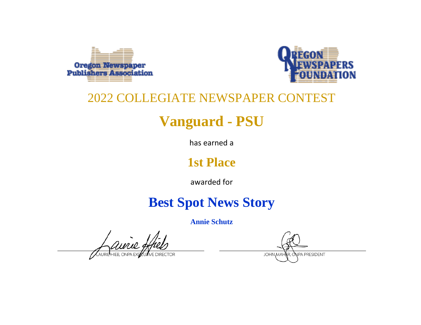



# **Vanguard - PSU**

has earned a

### **1st Place**

awarded for

## **Best Spot News Story**

**Annie Schutz**

aurie: